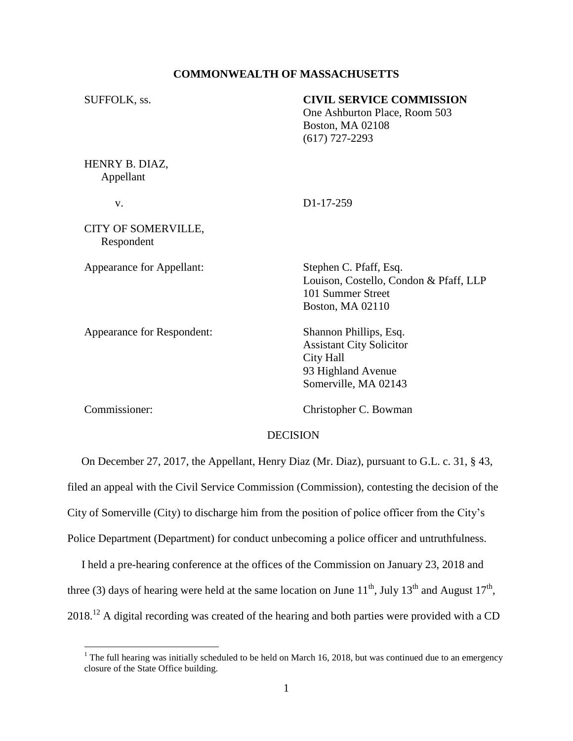#### **COMMONWEALTH OF MASSACHUSETTS**

| SUFFOLK, ss.                      | <b>CIVIL SERVICE COMMISSION</b><br>One Ashburton Place, Room 503<br>Boston, MA 02108<br>$(617)$ 727-2293             |
|-----------------------------------|----------------------------------------------------------------------------------------------------------------------|
| HENRY B. DIAZ,<br>Appellant       |                                                                                                                      |
| V.                                | D <sub>1</sub> -17-259                                                                                               |
| CITY OF SOMERVILLE,<br>Respondent |                                                                                                                      |
| Appearance for Appellant:         | Stephen C. Pfaff, Esq.<br>Louison, Costello, Condon & Pfaff, LLP<br>101 Summer Street<br>Boston, MA 02110            |
| Appearance for Respondent:        | Shannon Phillips, Esq.<br><b>Assistant City Solicitor</b><br>City Hall<br>93 Highland Avenue<br>Somerville, MA 02143 |
| Commissioner:                     | Christopher C. Bowman                                                                                                |

#### DECISION

 On December 27, 2017, the Appellant, Henry Diaz (Mr. Diaz), pursuant to G.L. c. 31, § 43, filed an appeal with the Civil Service Commission (Commission), contesting the decision of the City of Somerville (City) to discharge him from the position of police officer from the City's Police Department (Department) for conduct unbecoming a police officer and untruthfulness.

 I held a pre-hearing conference at the offices of the Commission on January 23, 2018 and three (3) days of hearing were held at the same location on June  $11^{th}$ , July  $13^{th}$  and August  $17^{th}$ ,  $2018$ <sup>12</sup> A digital recording was created of the hearing and both parties were provided with a CD

<sup>&</sup>lt;sup>1</sup> The full hearing was initially scheduled to be held on March 16, 2018, but was continued due to an emergency closure of the State Office building.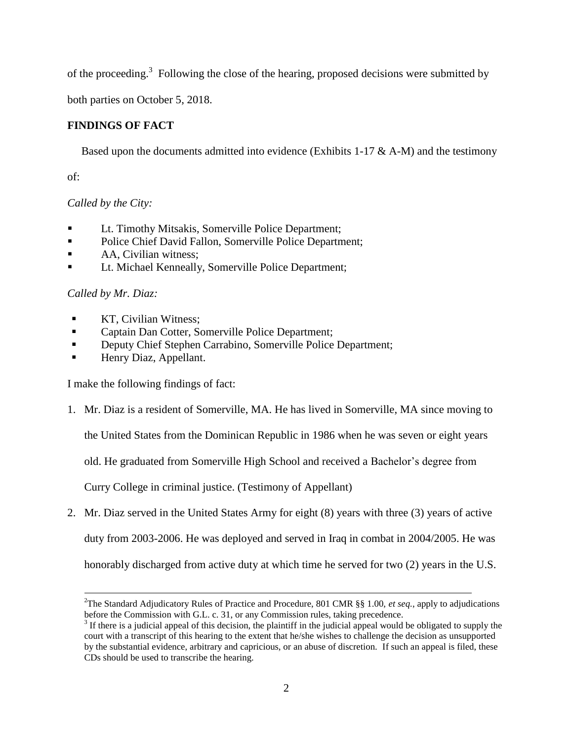of the proceeding.<sup>3</sup> Following the close of the hearing, proposed decisions were submitted by

both parties on October 5, 2018.

## **FINDINGS OF FACT**

Based upon the documents admitted into evidence (Exhibits 1-17  $\&$  A-M) and the testimony

of:

# *Called by the City:*

- Lt. Timothy Mitsakis, Somerville Police Department;
- Police Chief David Fallon, Somerville Police Department;
- AA, Civilian witness:
- **Lt. Michael Kenneally, Somerville Police Department;**

# *Called by Mr. Diaz:*

 $\overline{a}$ 

- KT, Civilian Witness;
- **Example 3** Captain Dan Cotter, Somerville Police Department;
- Deputy Chief Stephen Carrabino, Somerville Police Department;
- Henry Diaz, Appellant.

I make the following findings of fact:

1. Mr. Diaz is a resident of Somerville, MA. He has lived in Somerville, MA since moving to

the United States from the Dominican Republic in 1986 when he was seven or eight years

old. He graduated from Somerville High School and received a Bachelor's degree from

Curry College in criminal justice. (Testimony of Appellant)

2. Mr. Diaz served in the United States Army for eight (8) years with three (3) years of active

duty from 2003-2006. He was deployed and served in Iraq in combat in 2004/2005. He was

honorably discharged from active duty at which time he served for two (2) years in the U.S.

<sup>2</sup>The Standard Adjudicatory Rules of Practice and Procedure, 801 CMR §§ 1.00, *et seq.*, apply to adjudications before the Commission with G.L. c. 31, or any Commission rules, taking precedence.

 $3$  If there is a judicial appeal of this decision, the plaintiff in the judicial appeal would be obligated to supply the court with a transcript of this hearing to the extent that he/she wishes to challenge the decision as unsupported by the substantial evidence, arbitrary and capricious, or an abuse of discretion. If such an appeal is filed, these CDs should be used to transcribe the hearing.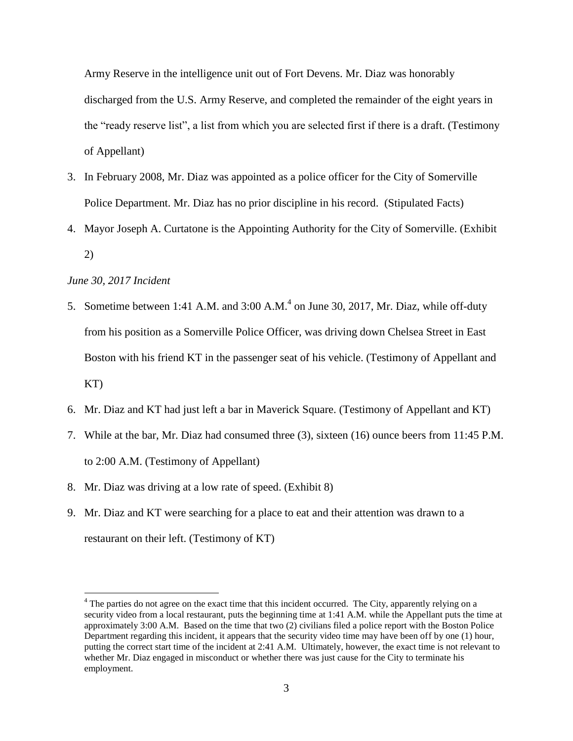Army Reserve in the intelligence unit out of Fort Devens. Mr. Diaz was honorably discharged from the U.S. Army Reserve, and completed the remainder of the eight years in the "ready reserve list", a list from which you are selected first if there is a draft. (Testimony of Appellant)

- 3. In February 2008, Mr. Diaz was appointed as a police officer for the City of Somerville Police Department. Mr. Diaz has no prior discipline in his record. (Stipulated Facts)
- 4. Mayor Joseph A. Curtatone is the Appointing Authority for the City of Somerville. (Exhibit 2)

## *June 30, 2017 Incident*

- 5. Sometime between 1:41 A.M. and  $3:00$  A.M. $^{4}$  on June 30, 2017, Mr. Diaz, while off-duty from his position as a Somerville Police Officer, was driving down Chelsea Street in East Boston with his friend KT in the passenger seat of his vehicle. (Testimony of Appellant and KT)
- 6. Mr. Diaz and KT had just left a bar in Maverick Square. (Testimony of Appellant and KT)
- 7. While at the bar, Mr. Diaz had consumed three (3), sixteen (16) ounce beers from 11:45 P.M. to 2:00 A.M. (Testimony of Appellant)
- 8. Mr. Diaz was driving at a low rate of speed. (Exhibit 8)
- 9. Mr. Diaz and KT were searching for a place to eat and their attention was drawn to a restaurant on their left. (Testimony of KT)

 $4$  The parties do not agree on the exact time that this incident occurred. The City, apparently relying on a security video from a local restaurant, puts the beginning time at 1:41 A.M. while the Appellant puts the time at approximately 3:00 A.M. Based on the time that two (2) civilians filed a police report with the Boston Police Department regarding this incident, it appears that the security video time may have been off by one (1) hour, putting the correct start time of the incident at 2:41 A.M. Ultimately, however, the exact time is not relevant to whether Mr. Diaz engaged in misconduct or whether there was just cause for the City to terminate his employment.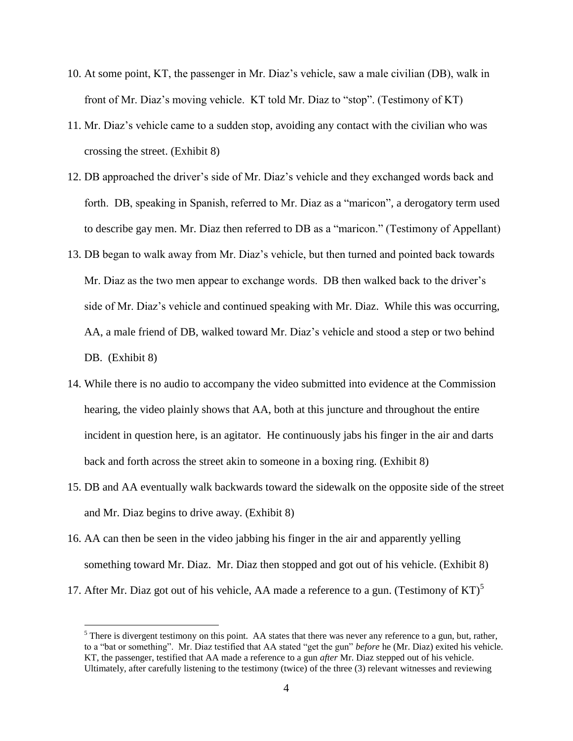- 10. At some point, KT, the passenger in Mr. Diaz's vehicle, saw a male civilian (DB), walk in front of Mr. Diaz's moving vehicle. KT told Mr. Diaz to "stop". (Testimony of KT)
- 11. Mr. Diaz's vehicle came to a sudden stop, avoiding any contact with the civilian who was crossing the street. (Exhibit 8)
- 12. DB approached the driver's side of Mr. Diaz's vehicle and they exchanged words back and forth. DB, speaking in Spanish, referred to Mr. Diaz as a "maricon", a derogatory term used to describe gay men. Mr. Diaz then referred to DB as a "maricon." (Testimony of Appellant)
- 13. DB began to walk away from Mr. Diaz's vehicle, but then turned and pointed back towards Mr. Diaz as the two men appear to exchange words. DB then walked back to the driver's side of Mr. Diaz's vehicle and continued speaking with Mr. Diaz. While this was occurring, AA, a male friend of DB, walked toward Mr. Diaz's vehicle and stood a step or two behind DB. (Exhibit 8)
- 14. While there is no audio to accompany the video submitted into evidence at the Commission hearing, the video plainly shows that AA, both at this juncture and throughout the entire incident in question here, is an agitator. He continuously jabs his finger in the air and darts back and forth across the street akin to someone in a boxing ring. (Exhibit 8)
- 15. DB and AA eventually walk backwards toward the sidewalk on the opposite side of the street and Mr. Diaz begins to drive away. (Exhibit 8)
- 16. AA can then be seen in the video jabbing his finger in the air and apparently yelling something toward Mr. Diaz. Mr. Diaz then stopped and got out of his vehicle. (Exhibit 8)
- 17. After Mr. Diaz got out of his vehicle, AA made a reference to a gun. (Testimony of  $KT$ )<sup>5</sup>

 $<sup>5</sup>$  There is divergent testimony on this point. AA states that there was never any reference to a gun, but, rather,</sup> to a "bat or something". Mr. Diaz testified that AA stated "get the gun" *before* he (Mr. Diaz) exited his vehicle. KT, the passenger, testified that AA made a reference to a gun *after* Mr. Diaz stepped out of his vehicle. Ultimately, after carefully listening to the testimony (twice) of the three (3) relevant witnesses and reviewing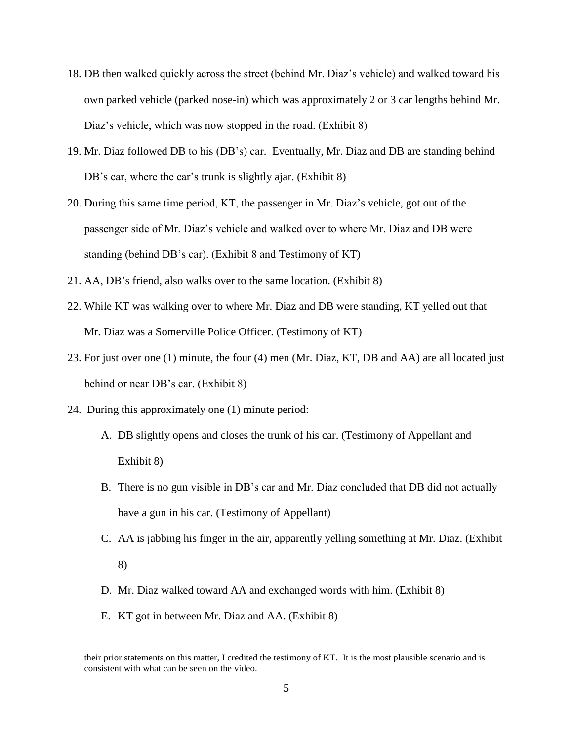- 18. DB then walked quickly across the street (behind Mr. Diaz's vehicle) and walked toward his own parked vehicle (parked nose-in) which was approximately 2 or 3 car lengths behind Mr. Diaz's vehicle, which was now stopped in the road. (Exhibit 8)
- 19. Mr. Diaz followed DB to his (DB's) car. Eventually, Mr. Diaz and DB are standing behind DB's car, where the car's trunk is slightly ajar. (Exhibit 8)
- 20. During this same time period, KT, the passenger in Mr. Diaz's vehicle, got out of the passenger side of Mr. Diaz's vehicle and walked over to where Mr. Diaz and DB were standing (behind DB's car). (Exhibit 8 and Testimony of KT)
- 21. AA, DB's friend, also walks over to the same location. (Exhibit 8)
- 22. While KT was walking over to where Mr. Diaz and DB were standing, KT yelled out that Mr. Diaz was a Somerville Police Officer. (Testimony of KT)
- 23. For just over one (1) minute, the four (4) men (Mr. Diaz, KT, DB and AA) are all located just behind or near DB's car. (Exhibit 8)
- 24. During this approximately one (1) minute period:
	- A. DB slightly opens and closes the trunk of his car. (Testimony of Appellant and Exhibit 8)
	- B. There is no gun visible in DB's car and Mr. Diaz concluded that DB did not actually have a gun in his car. (Testimony of Appellant)
	- C. AA is jabbing his finger in the air, apparently yelling something at Mr. Diaz. (Exhibit 8)
	- D. Mr. Diaz walked toward AA and exchanged words with him. (Exhibit 8)
	- E. KT got in between Mr. Diaz and AA. (Exhibit 8)

their prior statements on this matter, I credited the testimony of KT. It is the most plausible scenario and is consistent with what can be seen on the video.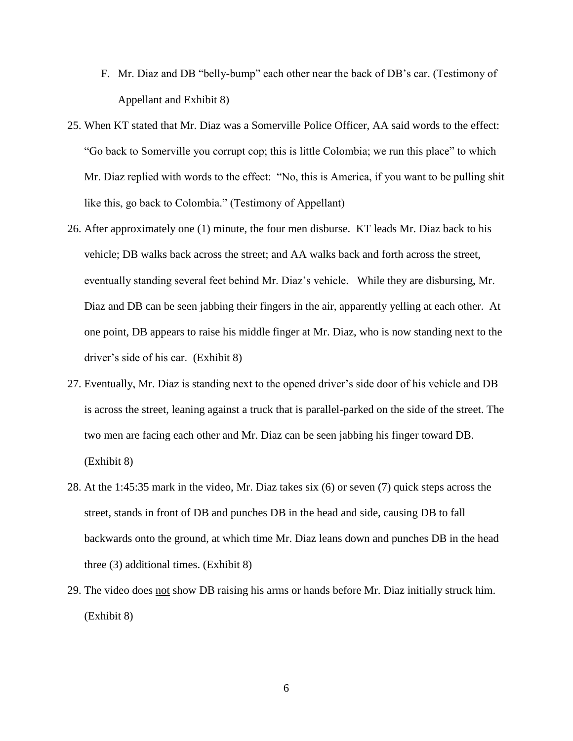- F. Mr. Diaz and DB "belly-bump" each other near the back of DB's car. (Testimony of Appellant and Exhibit 8)
- 25. When KT stated that Mr. Diaz was a Somerville Police Officer, AA said words to the effect: "Go back to Somerville you corrupt cop; this is little Colombia; we run this place" to which Mr. Diaz replied with words to the effect: "No, this is America, if you want to be pulling shit like this, go back to Colombia." (Testimony of Appellant)
- 26. After approximately one (1) minute, the four men disburse. KT leads Mr. Diaz back to his vehicle; DB walks back across the street; and AA walks back and forth across the street, eventually standing several feet behind Mr. Diaz's vehicle. While they are disbursing, Mr. Diaz and DB can be seen jabbing their fingers in the air, apparently yelling at each other. At one point, DB appears to raise his middle finger at Mr. Diaz, who is now standing next to the driver's side of his car. (Exhibit 8)
- 27. Eventually, Mr. Diaz is standing next to the opened driver's side door of his vehicle and DB is across the street, leaning against a truck that is parallel-parked on the side of the street. The two men are facing each other and Mr. Diaz can be seen jabbing his finger toward DB. (Exhibit 8)
- 28. At the 1:45:35 mark in the video, Mr. Diaz takes six (6) or seven (7) quick steps across the street, stands in front of DB and punches DB in the head and side, causing DB to fall backwards onto the ground, at which time Mr. Diaz leans down and punches DB in the head three (3) additional times. (Exhibit 8)
- 29. The video does not show DB raising his arms or hands before Mr. Diaz initially struck him. (Exhibit 8)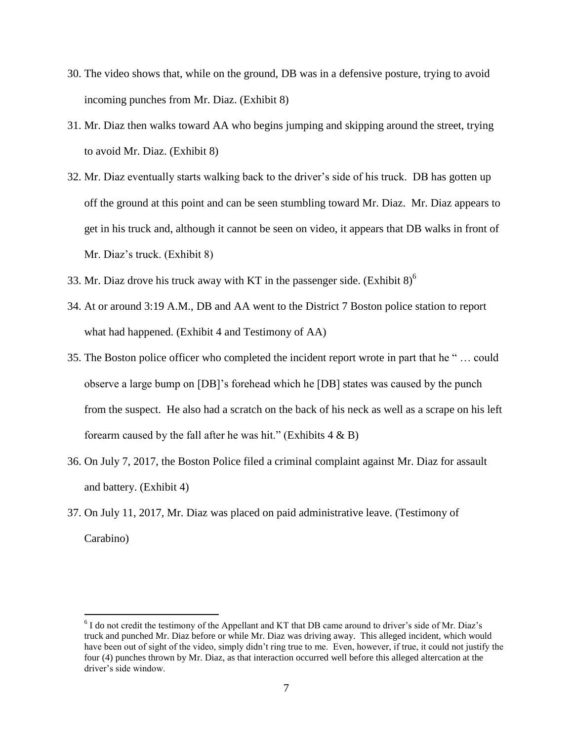- 30. The video shows that, while on the ground, DB was in a defensive posture, trying to avoid incoming punches from Mr. Diaz. (Exhibit 8)
- 31. Mr. Diaz then walks toward AA who begins jumping and skipping around the street, trying to avoid Mr. Diaz. (Exhibit 8)
- 32. Mr. Diaz eventually starts walking back to the driver's side of his truck. DB has gotten up off the ground at this point and can be seen stumbling toward Mr. Diaz. Mr. Diaz appears to get in his truck and, although it cannot be seen on video, it appears that DB walks in front of Mr. Diaz's truck. (Exhibit 8)
- 33. Mr. Diaz drove his truck away with KT in the passenger side. (Exhibit  $8$ )<sup>6</sup>
- 34. At or around 3:19 A.M., DB and AA went to the District 7 Boston police station to report what had happened. (Exhibit 4 and Testimony of AA)
- 35. The Boston police officer who completed the incident report wrote in part that he " … could observe a large bump on [DB]'s forehead which he [DB] states was caused by the punch from the suspect. He also had a scratch on the back of his neck as well as a scrape on his left forearm caused by the fall after he was hit." (Exhibits  $4 \& B$ )
- 36. On July 7, 2017, the Boston Police filed a criminal complaint against Mr. Diaz for assault and battery. (Exhibit 4)
- 37. On July 11, 2017, Mr. Diaz was placed on paid administrative leave. (Testimony of Carabino)

<sup>&</sup>lt;sup>6</sup> I do not credit the testimony of the Appellant and KT that DB came around to driver's side of Mr. Diaz's truck and punched Mr. Diaz before or while Mr. Diaz was driving away. This alleged incident, which would have been out of sight of the video, simply didn't ring true to me. Even, however, if true, it could not justify the four (4) punches thrown by Mr. Diaz, as that interaction occurred well before this alleged altercation at the driver's side window.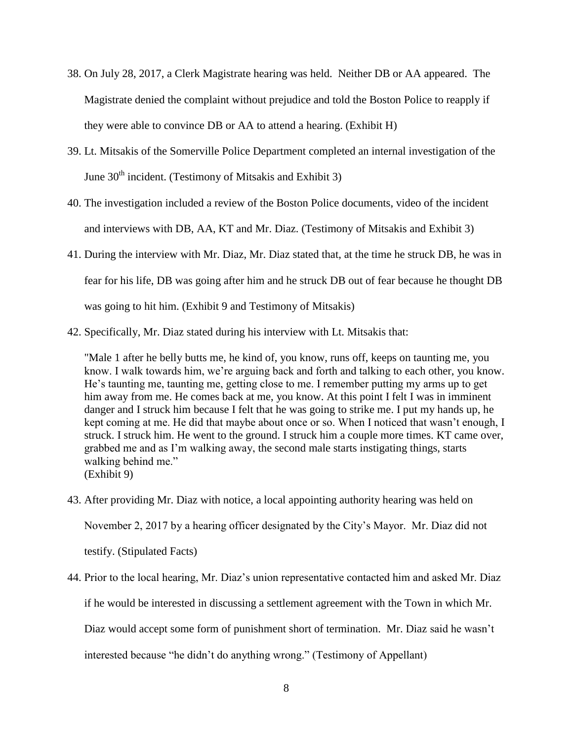- 38. On July 28, 2017, a Clerk Magistrate hearing was held. Neither DB or AA appeared. The Magistrate denied the complaint without prejudice and told the Boston Police to reapply if they were able to convince DB or AA to attend a hearing. (Exhibit H)
- 39. Lt. Mitsakis of the Somerville Police Department completed an internal investigation of the June  $30<sup>th</sup>$  incident. (Testimony of Mitsakis and Exhibit 3)
- 40. The investigation included a review of the Boston Police documents, video of the incident and interviews with DB, AA, KT and Mr. Diaz. (Testimony of Mitsakis and Exhibit 3)
- 41. During the interview with Mr. Diaz, Mr. Diaz stated that, at the time he struck DB, he was in fear for his life, DB was going after him and he struck DB out of fear because he thought DB was going to hit him. (Exhibit 9 and Testimony of Mitsakis)
- 42. Specifically, Mr. Diaz stated during his interview with Lt. Mitsakis that:

"Male 1 after he belly butts me, he kind of, you know, runs off, keeps on taunting me, you know. I walk towards him, we're arguing back and forth and talking to each other, you know. He's taunting me, taunting me, getting close to me. I remember putting my arms up to get him away from me. He comes back at me, you know. At this point I felt I was in imminent danger and I struck him because I felt that he was going to strike me. I put my hands up, he kept coming at me. He did that maybe about once or so. When I noticed that wasn't enough, I struck. I struck him. He went to the ground. I struck him a couple more times. KT came over, grabbed me and as I'm walking away, the second male starts instigating things, starts walking behind me." (Exhibit 9)

- 43. After providing Mr. Diaz with notice, a local appointing authority hearing was held on November 2, 2017 by a hearing officer designated by the City's Mayor. Mr. Diaz did not testify. (Stipulated Facts)
- 44. Prior to the local hearing, Mr. Diaz's union representative contacted him and asked Mr. Diaz

if he would be interested in discussing a settlement agreement with the Town in which Mr.

Diaz would accept some form of punishment short of termination. Mr. Diaz said he wasn't

interested because "he didn't do anything wrong." (Testimony of Appellant)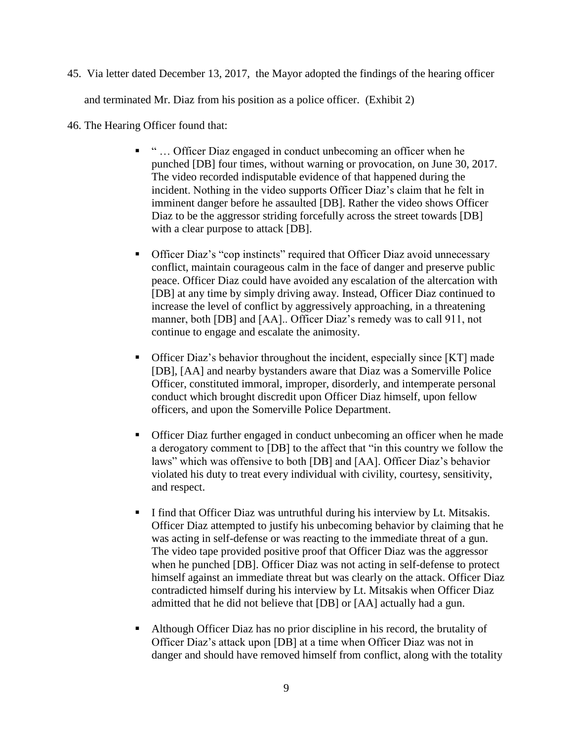45. Via letter dated December 13, 2017, the Mayor adopted the findings of the hearing officer

and terminated Mr. Diaz from his position as a police officer. (Exhibit 2)

- 46. The Hearing Officer found that:
	- " … Officer Diaz engaged in conduct unbecoming an officer when he punched [DB] four times, without warning or provocation, on June 30, 2017. The video recorded indisputable evidence of that happened during the incident. Nothing in the video supports Officer Diaz's claim that he felt in imminent danger before he assaulted [DB]. Rather the video shows Officer Diaz to be the aggressor striding forcefully across the street towards [DB] with a clear purpose to attack [DB].
	- Officer Diaz's "cop instincts" required that Officer Diaz avoid unnecessary conflict, maintain courageous calm in the face of danger and preserve public peace. Officer Diaz could have avoided any escalation of the altercation with [DB] at any time by simply driving away. Instead, Officer Diaz continued to increase the level of conflict by aggressively approaching, in a threatening manner, both [DB] and [AA].. Officer Diaz's remedy was to call 911, not continue to engage and escalate the animosity.
	- Officer Diaz's behavior throughout the incident, especially since [KT] made [DB], [AA] and nearby bystanders aware that Diaz was a Somerville Police Officer, constituted immoral, improper, disorderly, and intemperate personal conduct which brought discredit upon Officer Diaz himself, upon fellow officers, and upon the Somerville Police Department.
	- Officer Diaz further engaged in conduct unbecoming an officer when he made a derogatory comment to [DB] to the affect that "in this country we follow the laws" which was offensive to both [DB] and [AA]. Officer Diaz's behavior violated his duty to treat every individual with civility, courtesy, sensitivity, and respect.
	- I find that Officer Diaz was untruthful during his interview by Lt. Mitsakis. Officer Diaz attempted to justify his unbecoming behavior by claiming that he was acting in self-defense or was reacting to the immediate threat of a gun. The video tape provided positive proof that Officer Diaz was the aggressor when he punched [DB]. Officer Diaz was not acting in self-defense to protect himself against an immediate threat but was clearly on the attack. Officer Diaz contradicted himself during his interview by Lt. Mitsakis when Officer Diaz admitted that he did not believe that [DB] or [AA] actually had a gun.
	- Although Officer Diaz has no prior discipline in his record, the brutality of Officer Diaz's attack upon [DB] at a time when Officer Diaz was not in danger and should have removed himself from conflict, along with the totality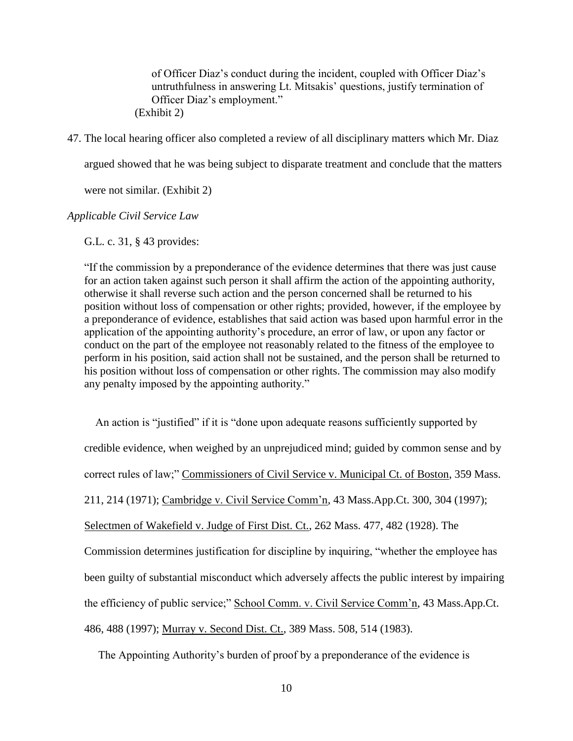of Officer Diaz's conduct during the incident, coupled with Officer Diaz's untruthfulness in answering Lt. Mitsakis' questions, justify termination of Officer Diaz's employment." (Exhibit 2)

47. The local hearing officer also completed a review of all disciplinary matters which Mr. Diaz

argued showed that he was being subject to disparate treatment and conclude that the matters

were not similar. (Exhibit 2)

*Applicable Civil Service Law*

G.L. c. 31, § 43 provides:

"If the commission by a preponderance of the evidence determines that there was just cause for an action taken against such person it shall affirm the action of the appointing authority, otherwise it shall reverse such action and the person concerned shall be returned to his position without loss of compensation or other rights; provided, however, if the employee by a preponderance of evidence, establishes that said action was based upon harmful error in the application of the appointing authority's procedure, an error of law, or upon any factor or conduct on the part of the employee not reasonably related to the fitness of the employee to perform in his position, said action shall not be sustained, and the person shall be returned to his position without loss of compensation or other rights. The commission may also modify any penalty imposed by the appointing authority."

 An action is "justified" if it is "done upon adequate reasons sufficiently supported by credible evidence, when weighed by an unprejudiced mind; guided by common sense and by correct rules of law;" Commissioners of Civil Service v. Municipal Ct. of Boston, 359 Mass. 211, 214 (1971); Cambridge v. Civil Service Comm'n, 43 Mass.App.Ct. 300, 304 (1997); Selectmen of Wakefield v. Judge of First Dist. Ct., 262 Mass. 477, 482 (1928). The Commission determines justification for discipline by inquiring, "whether the employee has been guilty of substantial misconduct which adversely affects the public interest by impairing the efficiency of public service;" School Comm. v. Civil Service Comm'n, 43 Mass.App.Ct. 486, 488 (1997); Murray v. Second Dist. Ct., 389 Mass. 508, 514 (1983).

The Appointing Authority's burden of proof by a preponderance of the evidence is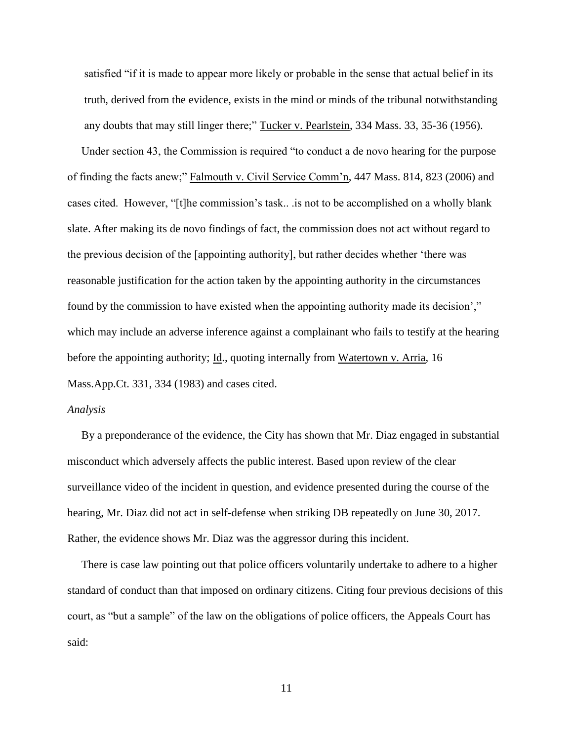satisfied "if it is made to appear more likely or probable in the sense that actual belief in its truth, derived from the evidence, exists in the mind or minds of the tribunal notwithstanding any doubts that may still linger there;" Tucker v. Pearlstein, 334 Mass. 33, 35-36 (1956).

 Under section 43, the Commission is required "to conduct a de novo hearing for the purpose of finding the facts anew;" Falmouth v. Civil Service Comm'n, 447 Mass. 814, 823 (2006) and cases cited. However, "[t]he commission's task.. .is not to be accomplished on a wholly blank slate. After making its de novo findings of fact, the commission does not act without regard to the previous decision of the [appointing authority], but rather decides whether 'there was reasonable justification for the action taken by the appointing authority in the circumstances found by the commission to have existed when the appointing authority made its decision'," which may include an adverse inference against a complainant who fails to testify at the hearing before the appointing authority; Id., quoting internally from Watertown v. Arria, 16 Mass.App.Ct. 331, 334 (1983) and cases cited.

#### *Analysis*

 By a preponderance of the evidence, the City has shown that Mr. Diaz engaged in substantial misconduct which adversely affects the public interest. Based upon review of the clear surveillance video of the incident in question, and evidence presented during the course of the hearing, Mr. Diaz did not act in self-defense when striking DB repeatedly on June 30, 2017. Rather, the evidence shows Mr. Diaz was the aggressor during this incident.

 There is case law pointing out that police officers voluntarily undertake to adhere to a higher standard of conduct than that imposed on ordinary citizens. Citing four previous decisions of this court, as "but a sample" of the law on the obligations of police officers, the Appeals Court has said: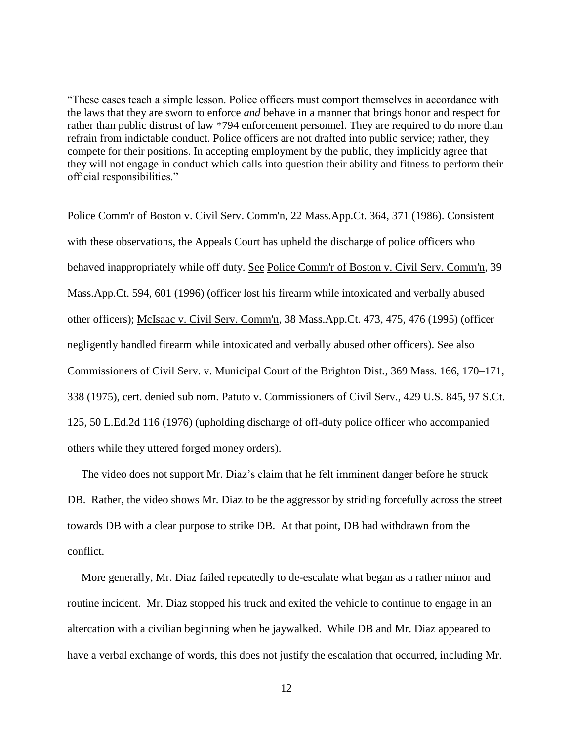"These cases teach a simple lesson. Police officers must comport themselves in accordance with the laws that they are sworn to enforce *and* behave in a manner that brings honor and respect for rather than public distrust of law \*794 enforcement personnel. They are required to do more than refrain from indictable conduct. Police officers are not drafted into public service; rather, they compete for their positions. In accepting employment by the public, they implicitly agree that they will not engage in conduct which calls into question their ability and fitness to perform their official responsibilities."

Police Comm'r of Boston v. Civil Serv. Comm'n*,* 22 Mass.App.Ct. 364, 371 (1986). Consistent with these observations, the Appeals Court has upheld the discharge of police officers who behaved inappropriately while off duty. See Police Comm'r of Boston v. Civil Serv. Comm'n*,* 39 Mass.App.Ct. 594, 601 (1996) (officer lost his firearm while intoxicated and verbally abused other officers); McIsaac v. Civil Serv. Comm'n*,* 38 Mass.App.Ct. 473, 475, 476 (1995) (officer negligently handled firearm while intoxicated and verbally abused other officers). See also Commissioners of Civil Serv. v. Municipal Court of the Brighton Dist*.,* 369 Mass. 166, 170–171, 338 (1975), cert. denied sub nom. Patuto v. Commissioners of Civil Serv*.,* 429 U.S. 845, 97 S.Ct. 125, 50 L.Ed.2d 116 (1976) (upholding discharge of off-duty police officer who accompanied others while they uttered forged money orders).

 The video does not support Mr. Diaz's claim that he felt imminent danger before he struck DB. Rather, the video shows Mr. Diaz to be the aggressor by striding forcefully across the street towards DB with a clear purpose to strike DB. At that point, DB had withdrawn from the conflict.

 More generally, Mr. Diaz failed repeatedly to de-escalate what began as a rather minor and routine incident. Mr. Diaz stopped his truck and exited the vehicle to continue to engage in an altercation with a civilian beginning when he jaywalked. While DB and Mr. Diaz appeared to have a verbal exchange of words, this does not justify the escalation that occurred, including Mr.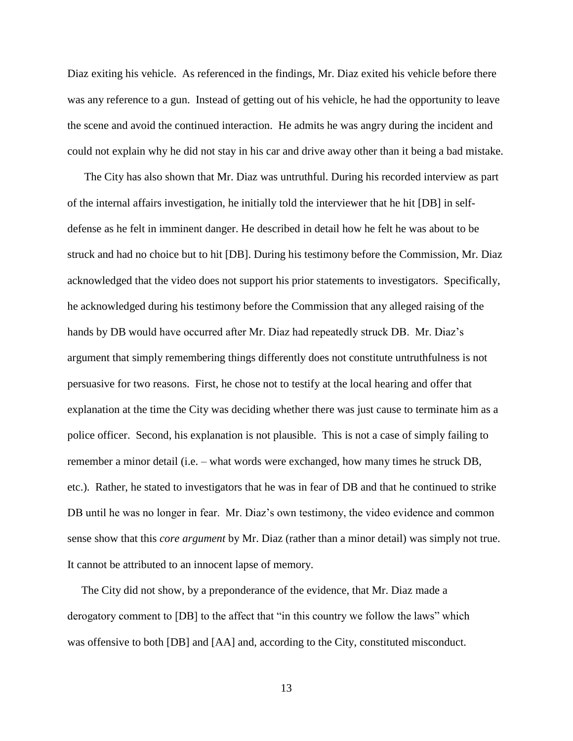Diaz exiting his vehicle. As referenced in the findings, Mr. Diaz exited his vehicle before there was any reference to a gun. Instead of getting out of his vehicle, he had the opportunity to leave the scene and avoid the continued interaction. He admits he was angry during the incident and could not explain why he did not stay in his car and drive away other than it being a bad mistake.

 The City has also shown that Mr. Diaz was untruthful. During his recorded interview as part of the internal affairs investigation, he initially told the interviewer that he hit [DB] in selfdefense as he felt in imminent danger. He described in detail how he felt he was about to be struck and had no choice but to hit [DB]. During his testimony before the Commission, Mr. Diaz acknowledged that the video does not support his prior statements to investigators. Specifically, he acknowledged during his testimony before the Commission that any alleged raising of the hands by DB would have occurred after Mr. Diaz had repeatedly struck DB. Mr. Diaz's argument that simply remembering things differently does not constitute untruthfulness is not persuasive for two reasons. First, he chose not to testify at the local hearing and offer that explanation at the time the City was deciding whether there was just cause to terminate him as a police officer. Second, his explanation is not plausible. This is not a case of simply failing to remember a minor detail (i.e. – what words were exchanged, how many times he struck DB, etc.). Rather, he stated to investigators that he was in fear of DB and that he continued to strike DB until he was no longer in fear. Mr. Diaz's own testimony, the video evidence and common sense show that this *core argument* by Mr. Diaz (rather than a minor detail) was simply not true. It cannot be attributed to an innocent lapse of memory.

 The City did not show, by a preponderance of the evidence, that Mr. Diaz made a derogatory comment to [DB] to the affect that "in this country we follow the laws" which was offensive to both [DB] and [AA] and, according to the City, constituted misconduct.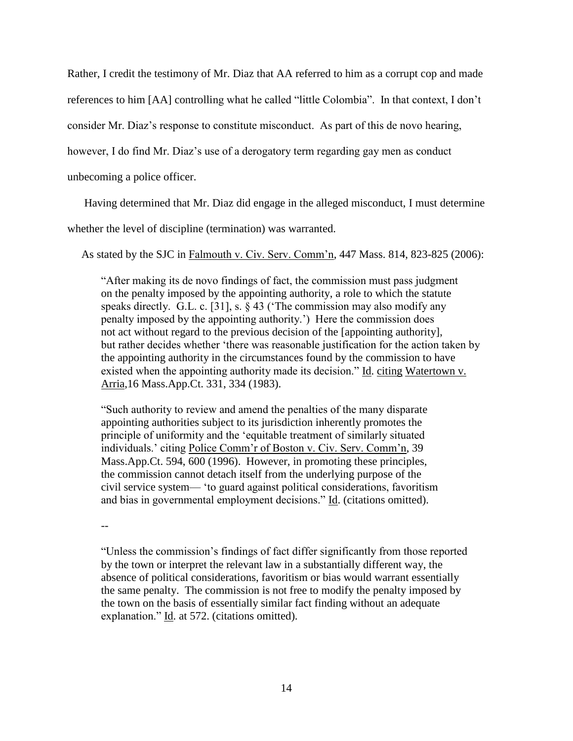Rather, I credit the testimony of Mr. Diaz that AA referred to him as a corrupt cop and made

references to him [AA] controlling what he called "little Colombia". In that context, I don't

consider Mr. Diaz's response to constitute misconduct. As part of this de novo hearing,

however, I do find Mr. Diaz's use of a derogatory term regarding gay men as conduct

unbecoming a police officer.

Having determined that Mr. Diaz did engage in the alleged misconduct, I must determine

whether the level of discipline (termination) was warranted.

As stated by the SJC in Falmouth v. Civ. Serv. Comm'n, 447 Mass. 814, 823-825 (2006):

 "After making its de novo findings of fact, the commission must pass judgment on the penalty imposed by the appointing authority, a role to which the statute speaks directly. G.L. c. [31], s. § 43 ('The commission may also modify any penalty imposed by the appointing authority.') Here the commission does not act without regard to the previous decision of the [appointing authority], but rather decides whether 'there was reasonable justification for the action taken by the appointing authority in the circumstances found by the commission to have existed when the appointing authority made its decision." Id. citing Watertown v. Arria,16 Mass.App.Ct. 331, 334 (1983).

"Such authority to review and amend the penalties of the many disparate appointing authorities subject to its jurisdiction inherently promotes the principle of uniformity and the 'equitable treatment of similarly situated individuals.' citing Police Comm'r of Boston v. Civ. Serv. Comm'n, 39 Mass.App.Ct. 594, 600 (1996). However, in promoting these principles, the commission cannot detach itself from the underlying purpose of the civil service system— 'to guard against political considerations, favoritism and bias in governmental employment decisions." Id. (citations omitted).

--

"Unless the commission's findings of fact differ significantly from those reported by the town or interpret the relevant law in a substantially different way, the absence of political considerations, favoritism or bias would warrant essentially the same penalty. The commission is not free to modify the penalty imposed by the town on the basis of essentially similar fact finding without an adequate explanation." Id. at 572. (citations omitted).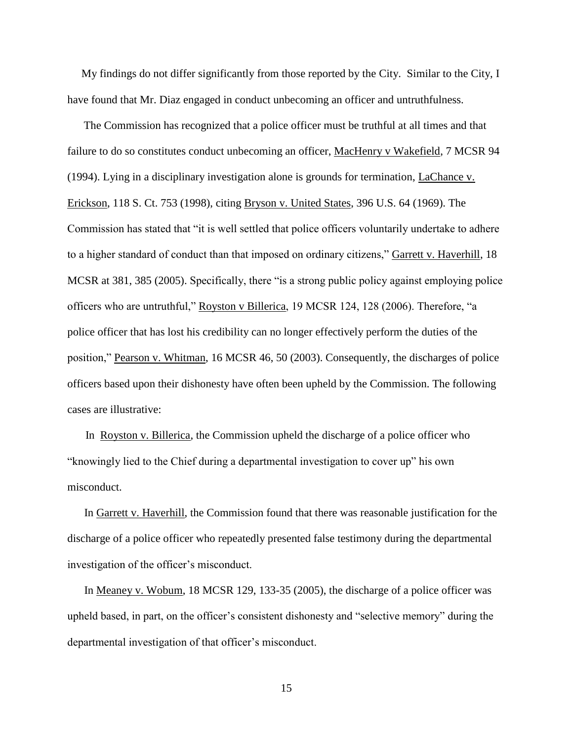My findings do not differ significantly from those reported by the City. Similar to the City, I have found that Mr. Diaz engaged in conduct unbecoming an officer and untruthfulness.

The Commission has recognized that a police officer must be truthful at all times and that failure to do so constitutes conduct unbecoming an officer, MacHenry v Wakefield, 7 MCSR 94 (1994). Lying in a disciplinary investigation alone is grounds for termination, LaChance v. Erickson, 118 S. Ct. 753 (1998), citing Bryson v. United States, 396 U.S. 64 (1969). The Commission has stated that "it is well settled that police officers voluntarily undertake to adhere to a higher standard of conduct than that imposed on ordinary citizens," Garrett v. Haverhill, 18 MCSR at 381, 385 (2005). Specifically, there "is a strong public policy against employing police officers who are untruthful," Royston v Billerica, 19 MCSR 124, 128 (2006). Therefore, "a police officer that has lost his credibility can no longer effectively perform the duties of the position," Pearson v. Whitman, 16 MCSR 46, 50 (2003). Consequently, the discharges of police officers based upon their dishonesty have often been upheld by the Commission. The following cases are illustrative:

 In Royston v. Billerica, the Commission upheld the discharge of a police officer who "knowingly lied to the Chief during a departmental investigation to cover up" his own misconduct.

In Garrett v. Haverhill, the Commission found that there was reasonable justification for the discharge of a police officer who repeatedly presented false testimony during the departmental investigation of the officer's misconduct.

In Meaney v. Wobum, 18 MCSR 129, 133-35 (2005), the discharge of a police officer was upheld based, in part, on the officer's consistent dishonesty and "selective memory" during the departmental investigation of that officer's misconduct.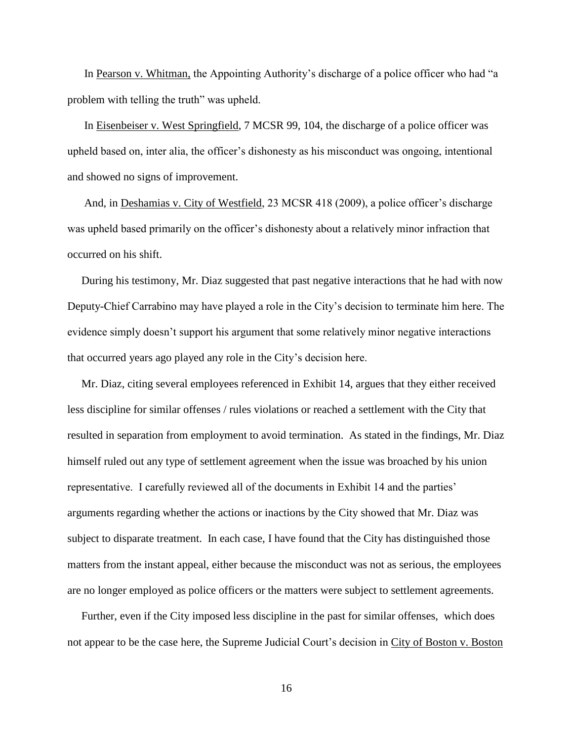In Pearson v. Whitman, the Appointing Authority's discharge of a police officer who had "a problem with telling the truth" was upheld.

In Eisenbeiser v. West Springfield, 7 MCSR 99, 104, the discharge of a police officer was upheld based on, inter alia, the officer's dishonesty as his misconduct was ongoing, intentional and showed no signs of improvement.

And, in Deshamias v. City of Westfield, 23 MCSR 418 (2009), a police officer's discharge was upheld based primarily on the officer's dishonesty about a relatively minor infraction that occurred on his shift.

 During his testimony, Mr. Diaz suggested that past negative interactions that he had with now Deputy-Chief Carrabino may have played a role in the City's decision to terminate him here. The evidence simply doesn't support his argument that some relatively minor negative interactions that occurred years ago played any role in the City's decision here.

 Mr. Diaz, citing several employees referenced in Exhibit 14, argues that they either received less discipline for similar offenses / rules violations or reached a settlement with the City that resulted in separation from employment to avoid termination. As stated in the findings, Mr. Diaz himself ruled out any type of settlement agreement when the issue was broached by his union representative. I carefully reviewed all of the documents in Exhibit 14 and the parties' arguments regarding whether the actions or inactions by the City showed that Mr. Diaz was subject to disparate treatment. In each case, I have found that the City has distinguished those matters from the instant appeal, either because the misconduct was not as serious, the employees are no longer employed as police officers or the matters were subject to settlement agreements.

 Further, even if the City imposed less discipline in the past for similar offenses, which does not appear to be the case here, the Supreme Judicial Court's decision in City of Boston v. Boston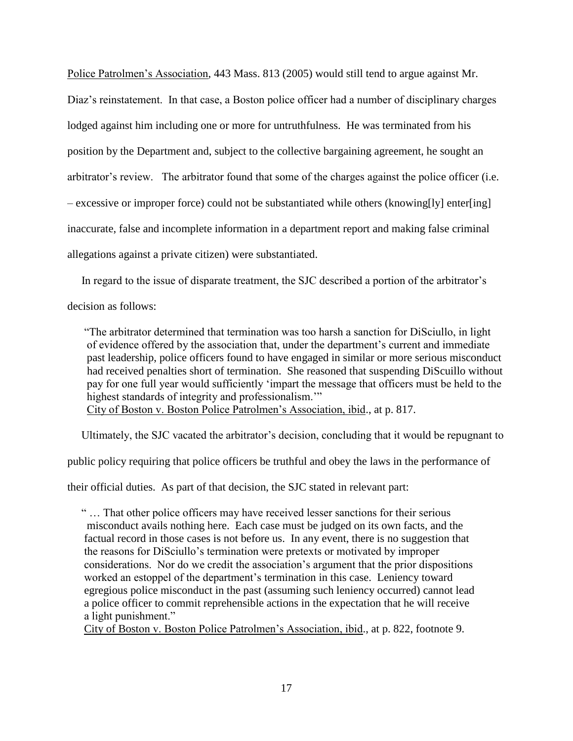Police Patrolmen's Association, 443 Mass. 813 (2005) would still tend to argue against Mr. Diaz's reinstatement. In that case, a Boston police officer had a number of disciplinary charges lodged against him including one or more for untruthfulness. He was terminated from his position by the Department and, subject to the collective bargaining agreement, he sought an arbitrator's review. The arbitrator found that some of the charges against the police officer (i.e. – excessive or improper force) could not be substantiated while others (knowing[ly] enter[ing] inaccurate, false and incomplete information in a department report and making false criminal allegations against a private citizen) were substantiated.

In regard to the issue of disparate treatment, the SJC described a portion of the arbitrator's

decision as follows:

 "The arbitrator determined that termination was too harsh a sanction for DiSciullo, in light of evidence offered by the association that, under the department's current and immediate past leadership, police officers found to have engaged in similar or more serious misconduct had received penalties short of termination. She reasoned that suspending DiScuillo without pay for one full year would sufficiently 'impart the message that officers must be held to the highest standards of integrity and professionalism.'"

City of Boston v. Boston Police Patrolmen's Association, ibid., at p. 817.

Ultimately, the SJC vacated the arbitrator's decision, concluding that it would be repugnant to

public policy requiring that police officers be truthful and obey the laws in the performance of

their official duties. As part of that decision, the SJC stated in relevant part:

 " … That other police officers may have received lesser sanctions for their serious misconduct avails nothing here. Each case must be judged on its own facts, and the factual record in those cases is not before us. In any event, there is no suggestion that the reasons for DiSciullo's termination were pretexts or motivated by improper considerations. Nor do we credit the association's argument that the prior dispositions worked an estoppel of the department's termination in this case. Leniency toward egregious police misconduct in the past (assuming such leniency occurred) cannot lead a police officer to commit reprehensible actions in the expectation that he will receive a light punishment."

City of Boston v. Boston Police Patrolmen's Association, ibid., at p. 822, footnote 9.